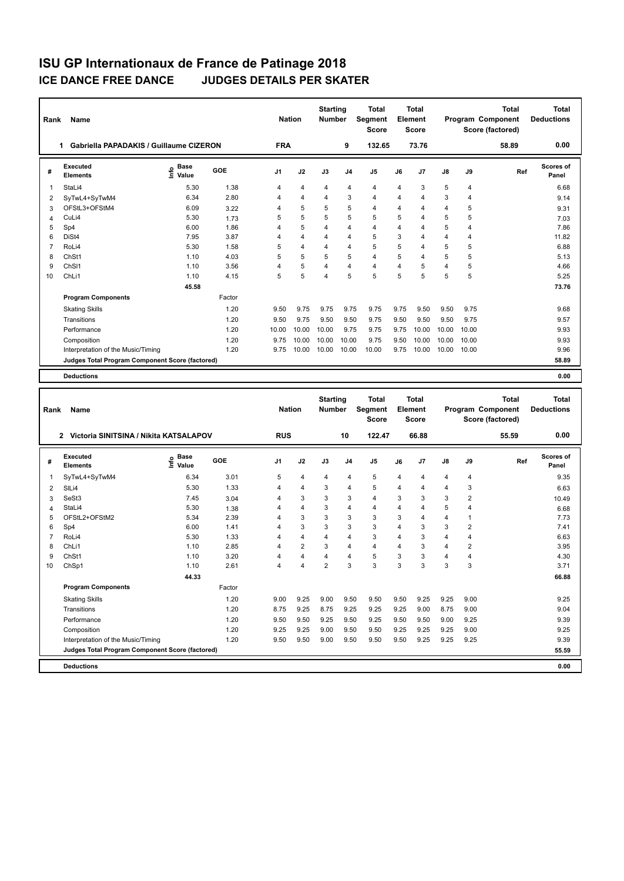| Rank           | Name                                            |                           |        | <b>Nation</b>  |                        | <b>Starting</b><br>Number |                | <b>Total</b><br>Segment<br><b>Score</b> |                | <b>Total</b><br><b>Element</b><br>Score |                |                         | <b>Total</b><br>Program Component<br>Score (factored) | Total<br><b>Deductions</b> |
|----------------|-------------------------------------------------|---------------------------|--------|----------------|------------------------|---------------------------|----------------|-----------------------------------------|----------------|-----------------------------------------|----------------|-------------------------|-------------------------------------------------------|----------------------------|
|                | 1 Gabriella PAPADAKIS / Guillaume CIZERON       |                           |        | <b>FRA</b>     |                        |                           | 9              | 132.65                                  |                | 73.76                                   |                |                         | 58.89                                                 | 0.00                       |
| #              | Executed<br>Elements                            | Base<br>o Base<br>⊆ Value | GOE    | J <sub>1</sub> | J2                     | J3                        | J <sub>4</sub> | J5                                      | J6             | J7                                      | J8             | J9                      | Ref                                                   | <b>Scores of</b><br>Panel  |
| 1              | StaLi4                                          | 5.30                      | 1.38   | 4              | 4                      | 4                         | 4              | $\overline{4}$                          | $\overline{4}$ | 3                                       | 5              | $\overline{4}$          |                                                       | 6.68                       |
| 2              | SyTwL4+SyTwM4                                   | 6.34                      | 2.80   | 4              | 4                      | 4                         | 3              | 4                                       | $\overline{4}$ | 4                                       | 3              | 4                       |                                                       | 9.14                       |
| 3              | OFStL3+OFStM4                                   | 6.09                      | 3.22   | 4              | 5                      | 5                         | 5              | 4                                       | $\overline{4}$ | 4                                       | $\overline{4}$ | 5                       |                                                       | 9.31                       |
| 4              | CuLi4                                           | 5.30                      | 1.73   | 5              | 5                      | 5                         | 5              | 5                                       | 5              | 4                                       | 5              | 5                       |                                                       | 7.03                       |
| 5              | Sp4                                             | 6.00                      | 1.86   | 4              | 5                      | 4                         | 4              | 4                                       | $\overline{4}$ | 4                                       | 5              | $\overline{4}$          |                                                       | 7.86                       |
| 6              | DiSt4                                           | 7.95                      | 3.87   | 4              | 4                      | 4                         | 4              | 5                                       | 3              | 4                                       | $\overline{4}$ | $\overline{4}$          |                                                       | 11.82                      |
| 7              | RoLi4                                           | 5.30                      | 1.58   | 5              | 4                      | 4                         | $\overline{4}$ | 5                                       | 5              | $\overline{4}$                          | 5              | 5                       |                                                       | 6.88                       |
| 8              | ChSt1                                           | 1.10                      | 4.03   | 5              | 5                      | 5                         | 5              | 4                                       | 5              | 4                                       | 5              | 5                       |                                                       | 5.13                       |
| 9              | ChS <sub>11</sub>                               | 1.10                      | 3.56   | 4              | 5                      | 4                         | $\overline{4}$ | $\overline{4}$                          | 4              | 5                                       | $\overline{4}$ | 5                       |                                                       | 4.66                       |
| 10             | ChL <sub>i1</sub>                               | 1.10                      | 4.15   | 5              | 5                      | 4                         | 5              | 5                                       | 5              | 5                                       | 5              | 5                       |                                                       | 5.25                       |
|                |                                                 | 45.58                     |        |                |                        |                           |                |                                         |                |                                         |                |                         |                                                       | 73.76                      |
|                | <b>Program Components</b>                       |                           | Factor |                |                        |                           |                |                                         |                |                                         |                |                         |                                                       |                            |
|                | <b>Skating Skills</b>                           |                           | 1.20   | 9.50           | 9.75                   | 9.75                      | 9.75           | 9.75                                    | 9.75           | 9.50                                    | 9.50           | 9.75                    |                                                       | 9.68                       |
|                | Transitions                                     |                           | 1.20   | 9.50           | 9.75                   | 9.50                      | 9.50           | 9.75                                    | 9.50           | 9.50                                    | 9.50           | 9.75                    |                                                       | 9.57                       |
|                | Performance                                     |                           | 1.20   | 10.00          | 10.00                  | 10.00                     | 9.75           | 9.75                                    | 9.75           | 10.00                                   | 10.00          | 10.00                   |                                                       | 9.93                       |
|                | Composition                                     |                           | 1.20   | 9.75           | 10.00                  | 10.00                     | 10.00          | 9.75                                    | 9.50           | 10.00                                   | 10.00          | 10.00                   |                                                       | 9.93                       |
|                | Interpretation of the Music/Timing              |                           | 1.20   | 9.75           | 10.00                  | 10.00                     | 10.00          | 10.00                                   | 9.75           | 10.00                                   | 10.00          | 10.00                   |                                                       | 9.96                       |
|                | Judges Total Program Component Score (factored) |                           |        |                |                        |                           |                |                                         |                |                                         |                |                         |                                                       | 58.89                      |
|                | <b>Deductions</b>                               |                           |        |                |                        |                           |                |                                         |                |                                         |                |                         |                                                       | 0.00                       |
|                |                                                 |                           |        |                |                        |                           |                |                                         |                |                                         |                |                         |                                                       |                            |
|                |                                                 |                           |        |                |                        |                           |                |                                         |                |                                         |                |                         |                                                       |                            |
|                |                                                 |                           |        |                |                        | <b>Starting</b>           |                | <b>Total</b>                            |                | <b>Total</b>                            |                |                         | <b>Total</b>                                          | <b>Total</b>               |
| Rank           | Name                                            |                           |        | <b>Nation</b>  |                        | Number                    |                | Segment<br><b>Score</b>                 |                | <b>Element</b><br>Score                 |                |                         | Program Component<br>Score (factored)                 | <b>Deductions</b>          |
|                | 2 Victoria SINITSINA / Nikita KATSALAPOV        |                           |        | <b>RUS</b>     |                        |                           | 10             | 122.47                                  |                | 66.88                                   |                |                         | 55.59                                                 | 0.00                       |
|                |                                                 |                           |        |                |                        |                           |                |                                         |                |                                         |                |                         |                                                       |                            |
| #              | <b>Executed</b><br><b>Elements</b>              | Base<br>١nfo<br>Value     | GOE    | J1             | J2                     | J3                        | J4             | J5                                      | J6             | J7                                      | J8             | J9                      | Ref                                                   | Scores of<br>Panel         |
| 1              | SyTwL4+SyTwM4                                   | 6.34                      | 3.01   | 5              | 4                      | 4                         | 4              | 5                                       | 4              | 4                                       | 4              | 4                       |                                                       | 9.35                       |
| 2              | SILi4                                           | 5.30                      | 1.33   | 4              | 4                      | 3                         | $\overline{4}$ | 5                                       | $\overline{4}$ | 4                                       | $\overline{4}$ | 3                       |                                                       | 6.63                       |
| 3              | SeSt3                                           | 7.45                      | 3.04   | 4              | 3                      | 3                         | 3              | $\overline{4}$                          | 3              | 3                                       | 3              | $\overline{\mathbf{c}}$ |                                                       | 10.49                      |
| 4              | StaLi4                                          | 5.30                      | 1.38   | 4              | 4                      | 3                         | $\overline{4}$ | 4                                       | $\overline{4}$ | 4                                       | 5              | $\overline{4}$          |                                                       | 6.68                       |
| 5              | OFStL2+OFStM2                                   | 5.34                      | 2.39   | 4              | 3                      | 3                         | 3              | 3                                       | 3              | 4                                       | $\overline{4}$ | $\mathbf{1}$            |                                                       | 7.73                       |
| 6              | Sp4                                             | 6.00                      | 1.41   | 4              | 3                      | 3                         | 3              | 3                                       | $\overline{4}$ | 3                                       | 3              | $\overline{2}$          |                                                       | 7.41                       |
| $\overline{7}$ | RoLi4                                           | 5.30                      | 1.33   | 4              | 4                      | 4                         | $\overline{4}$ | 3                                       | $\overline{4}$ | 3                                       | $\overline{4}$ | 4                       |                                                       | 6.63                       |
| 8              | ChL <sub>i1</sub>                               | 1.10                      | 2.85   | 4              | $\overline{2}$         | 3                         | 4              | 4                                       | $\overline{4}$ | 3                                       | $\overline{4}$ | $\overline{\mathbf{c}}$ |                                                       | 3.95                       |
| 9              | ChSt1                                           | 1.10                      | 3.20   | 4              | 4                      | 4                         | $\overline{4}$ | 5                                       | 3              | 3                                       | $\overline{4}$ | 4                       |                                                       | 4.30                       |
| 10             | ChSp1                                           | 1.10                      | 2.61   | $\Lambda$      | $\boldsymbol{\Lambda}$ | $\overline{2}$            | 3              | 3                                       | 3              | 3                                       | 3              | 3                       |                                                       | 3.71                       |
|                |                                                 | 44.33                     |        |                |                        |                           |                |                                         |                |                                         |                |                         |                                                       | 66.88                      |
|                | <b>Program Components</b>                       |                           | Factor |                |                        |                           |                |                                         |                |                                         |                |                         |                                                       |                            |
|                | <b>Skating Skills</b>                           |                           | 1.20   | 9.00           | 9.25                   | 9.00                      | 9.50           | 9.50                                    | 9.50           | 9.25                                    | 9.25           | 9.00                    |                                                       | 9.25                       |
|                | Transitions                                     |                           | 1.20   | 8.75           | 9.25                   | 8.75                      | 9.25           | 9.25                                    | 9.25           | 9.00                                    | 8.75           | 9.00                    |                                                       | 9.04                       |
|                | Performance                                     |                           | 1.20   | 9.50           | 9.50                   | 9.25                      | 9.50           | 9.25                                    | 9.50           | 9.50                                    | 9.00           | 9.25                    |                                                       | 9.39                       |
|                | Composition                                     |                           | 1.20   | 9.25           | 9.25                   | 9.00                      | 9.50           | 9.50                                    | 9.25           | 9.25                                    | 9.25           | 9.00                    |                                                       | 9.25                       |
|                | Interpretation of the Music/Timing              |                           | 1.20   | 9.50           | 9.50                   | 9.00                      | 9.50           | 9.50                                    | 9.50           | 9.25                                    | 9.25           | 9.25                    |                                                       | 9.39                       |

**Deductions 0.00**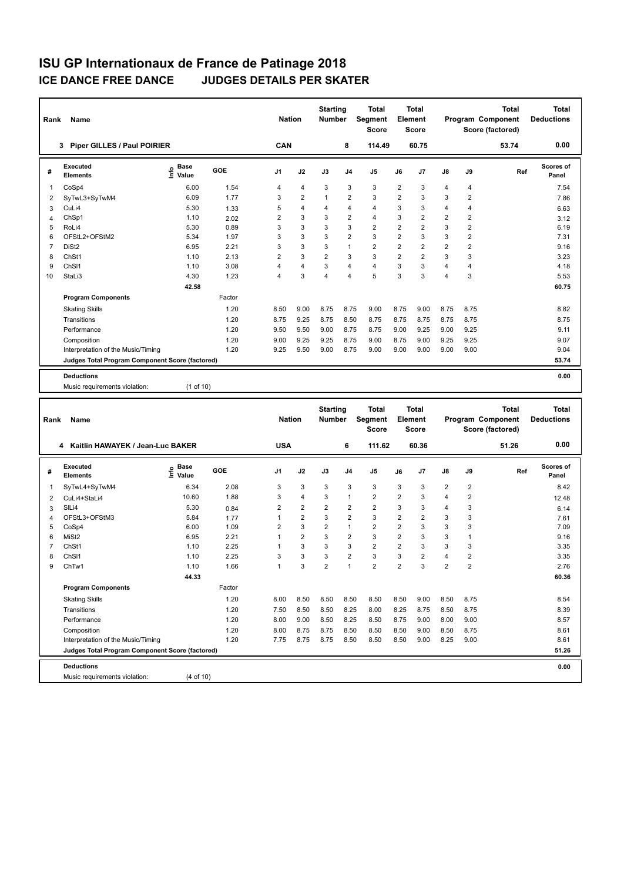| Rank           | <b>Name</b>                                     |                              |        | <b>Nation</b>  |                | <b>Starting</b><br><b>Number</b> |                | <b>Total</b><br>Segment<br><b>Score</b> |                | <b>Total</b><br>Element<br><b>Score</b> |                |                | <b>Total</b><br>Program Component<br>Score (factored) | Total<br><b>Deductions</b> |
|----------------|-------------------------------------------------|------------------------------|--------|----------------|----------------|----------------------------------|----------------|-----------------------------------------|----------------|-----------------------------------------|----------------|----------------|-------------------------------------------------------|----------------------------|
|                | <b>Piper GILLES / Paul POIRIER</b><br>3         |                              |        | CAN            |                |                                  | 8              | 114.49                                  |                | 60.75                                   |                |                | 53.74                                                 | 0.00                       |
| #              | Executed<br><b>Elements</b>                     | <b>Base</b><br>lnfo<br>Value | GOE    | J <sub>1</sub> | J2             | J3                               | J <sub>4</sub> | J <sub>5</sub>                          | J6             | J7                                      | $\mathsf{J}8$  | J9             | Ref                                                   | <b>Scores of</b><br>Panel  |
| 1              | CoSp4                                           | 6.00                         | 1.54   | 4              | $\overline{4}$ | 3                                | 3              | 3                                       | $\overline{2}$ | 3                                       | $\overline{4}$ | 4              |                                                       | 7.54                       |
| 2              | SyTwL3+SyTwM4                                   | 6.09                         | 1.77   | 3              | $\overline{2}$ | $\overline{1}$                   | $\overline{2}$ | 3                                       | $\overline{2}$ | 3                                       | 3              | $\overline{2}$ |                                                       | 7.86                       |
| 3              | CuLi4                                           | 5.30                         | 1.33   | 5              | $\overline{4}$ | 4                                | $\overline{4}$ | $\overline{4}$                          | 3              | 3                                       | $\overline{4}$ | 4              |                                                       | 6.63                       |
| 4              | ChSp1                                           | 1.10                         | 2.02   | $\overline{2}$ | 3              | 3                                | $\overline{2}$ | $\overline{4}$                          | 3              | 2                                       | $\overline{2}$ | $\overline{2}$ |                                                       | 3.12                       |
| 5              | RoLi4                                           | 5.30                         | 0.89   | 3              | 3              | 3                                | 3              | $\overline{2}$                          | $\overline{2}$ | $\overline{2}$                          | 3              | $\overline{2}$ |                                                       | 6.19                       |
| 6              | OFStL2+OFStM2                                   | 5.34                         | 1.97   | 3              | $\overline{3}$ | 3                                | $\overline{2}$ | 3                                       | $\overline{2}$ | 3                                       | 3              | $\overline{2}$ |                                                       | 7.31                       |
| $\overline{7}$ | DiSt <sub>2</sub>                               | 6.95                         | 2.21   | 3              | 3              | 3                                | $\mathbf{1}$   | $\overline{2}$                          | $\overline{2}$ | $\overline{2}$                          | $\overline{2}$ | $\overline{2}$ |                                                       | 9.16                       |
| 8              | ChSt1                                           | 1.10                         | 2.13   | $\overline{2}$ | 3              | $\overline{2}$                   | 3              | 3                                       | $\overline{2}$ | 2                                       | 3              | 3              |                                                       | 3.23                       |
| 9              | ChS <sub>11</sub>                               | 1.10                         | 3.08   | 4              | $\overline{4}$ | 3                                | $\overline{4}$ | $\overline{4}$                          | 3              | 3                                       | $\overline{4}$ | 4              |                                                       | 4.18                       |
| 10             | StaLi3                                          | 4.30                         | 1.23   | 4              | 3              | $\overline{\mathbf{A}}$          | $\overline{4}$ | 5                                       | 3              | 3                                       | $\overline{4}$ | 3              |                                                       | 5.53                       |
|                |                                                 | 42.58                        |        |                |                |                                  |                |                                         |                |                                         |                |                |                                                       | 60.75                      |
|                | <b>Program Components</b>                       |                              | Factor |                |                |                                  |                |                                         |                |                                         |                |                |                                                       |                            |
|                | <b>Skating Skills</b>                           |                              | 1.20   | 8.50           | 9.00           | 8.75                             | 8.75           | 9.00                                    | 8.75           | 9.00                                    | 8.75           | 8.75           |                                                       | 8.82                       |
|                | Transitions                                     |                              | 1.20   | 8.75           | 9.25           | 8.75                             | 8.50           | 8.75                                    | 8.75           | 8.75                                    | 8.75           | 8.75           |                                                       | 8.75                       |
|                | Performance                                     |                              | 1.20   | 9.50           | 9.50           | 9.00                             | 8.75           | 8.75                                    | 9.00           | 9.25                                    | 9.00           | 9.25           |                                                       | 9.11                       |
|                | Composition                                     |                              | 1.20   | 9.00           | 9.25           | 9.25                             | 8.75           | 9.00                                    | 8.75           | 9.00                                    | 9.25           | 9.25           |                                                       | 9.07                       |
|                | Interpretation of the Music/Timing              |                              | 1.20   | 9.25           | 9.50           | 9.00                             | 8.75           | 9.00                                    | 9.00           | 9.00                                    | 9.00           | 9.00           |                                                       | 9.04                       |
|                | Judges Total Program Component Score (factored) |                              |        |                |                |                                  |                |                                         |                |                                         |                |                |                                                       | 53.74                      |
|                | <b>Deductions</b>                               |                              |        |                |                |                                  |                |                                         |                |                                         |                |                |                                                       | 0.00                       |
|                | Music requirements violation:                   | (1 of 10)                    |        |                |                |                                  |                |                                         |                |                                         |                |                |                                                       |                            |

| Rank           | Name                                            |                              |        | <b>Nation</b>  |                | <b>Starting</b><br><b>Number</b> |                | <b>Total</b><br>Segment<br><b>Score</b> |                | Total<br>Element<br><b>Score</b> |                |                | <b>Total</b><br>Program Component<br>Score (factored) | <b>Total</b><br><b>Deductions</b> |
|----------------|-------------------------------------------------|------------------------------|--------|----------------|----------------|----------------------------------|----------------|-----------------------------------------|----------------|----------------------------------|----------------|----------------|-------------------------------------------------------|-----------------------------------|
|                | Kaitlin HAWAYEK / Jean-Luc BAKER<br>4           |                              |        | <b>USA</b>     |                |                                  | 6              | 111.62                                  |                | 60.36                            |                |                | 51.26                                                 | 0.00                              |
| #              | Executed<br><b>Elements</b>                     | <b>Base</b><br>١nf٥<br>Value | GOE    | J <sub>1</sub> | J2             | J3                               | J <sub>4</sub> | J <sub>5</sub>                          | J6             | J <sub>7</sub>                   | J8             | J9             | Ref                                                   | <b>Scores of</b><br>Panel         |
| $\mathbf{1}$   | SyTwL4+SyTwM4                                   | 6.34                         | 2.08   | 3              | 3              | 3                                | 3              | 3                                       | 3              | 3                                | $\overline{2}$ | $\overline{2}$ |                                                       | 8.42                              |
| 2              | CuLi4+StaLi4                                    | 10.60                        | 1.88   | 3              | $\overline{4}$ | 3                                | $\overline{1}$ | $\overline{2}$                          | $\overline{2}$ | 3                                | $\overline{4}$ | $\overline{2}$ |                                                       | 12.48                             |
| 3              | SIL <sub>i4</sub>                               | 5.30                         | 0.84   | $\overline{2}$ | 2              | $\overline{2}$                   | $\overline{2}$ | $\overline{2}$                          | 3              | 3                                | $\overline{4}$ | 3              |                                                       | 6.14                              |
| 4              | OFStL3+OFStM3                                   | 5.84                         | 1.77   |                | $\overline{2}$ | 3                                | $\overline{2}$ | 3                                       | $\overline{2}$ | $\overline{2}$                   | 3              | 3              |                                                       | 7.61                              |
| 5              | CoSp4                                           | 6.00                         | 1.09   | 2              | 3              | $\overline{2}$                   | $\overline{1}$ | $\overline{2}$                          | $\overline{2}$ | 3                                | 3              | 3              |                                                       | 7.09                              |
| 6              | MiSt <sub>2</sub>                               | 6.95                         | 2.21   | 1              | $\overline{2}$ | 3                                | $\overline{2}$ | $\overline{3}$                          | $\overline{2}$ | 3                                | 3              |                |                                                       | 9.16                              |
| $\overline{7}$ | ChSt1                                           | 1.10                         | 2.25   |                | 3              | 3                                | 3              | $\overline{2}$                          | $\overline{2}$ | 3                                | 3              | 3              |                                                       | 3.35                              |
| 8              | ChS <sub>11</sub>                               | 1.10                         | 2.25   | 3              | 3              | 3                                | $\overline{2}$ | 3                                       | 3              | $\overline{2}$                   | $\overline{4}$ | $\overline{2}$ |                                                       | 3.35                              |
| 9              | ChTw1                                           | 1.10                         | 1.66   | 1              | 3              | $\overline{2}$                   | $\overline{1}$ | $\overline{2}$                          | $\overline{2}$ | 3                                | $\overline{2}$ | $\overline{2}$ |                                                       | 2.76                              |
|                |                                                 | 44.33                        |        |                |                |                                  |                |                                         |                |                                  |                |                |                                                       | 60.36                             |
|                | <b>Program Components</b>                       |                              | Factor |                |                |                                  |                |                                         |                |                                  |                |                |                                                       |                                   |
|                | <b>Skating Skills</b>                           |                              | 1.20   | 8.00           | 8.50           | 8.50                             | 8.50           | 8.50                                    | 8.50           | 9.00                             | 8.50           | 8.75           |                                                       | 8.54                              |
|                | Transitions                                     |                              | 1.20   | 7.50           | 8.50           | 8.50                             | 8.25           | 8.00                                    | 8.25           | 8.75                             | 8.50           | 8.75           |                                                       | 8.39                              |
|                | Performance                                     |                              | 1.20   | 8.00           | 9.00           | 8.50                             | 8.25           | 8.50                                    | 8.75           | 9.00                             | 8.00           | 9.00           |                                                       | 8.57                              |
|                | Composition                                     |                              | 1.20   | 8.00           | 8.75           | 8.75                             | 8.50           | 8.50                                    | 8.50           | 9.00                             | 8.50           | 8.75           |                                                       | 8.61                              |
|                | Interpretation of the Music/Timing              |                              | 1.20   | 7.75           | 8.75           | 8.75                             | 8.50           | 8.50                                    | 8.50           | 9.00                             | 8.25           | 9.00           |                                                       | 8.61                              |
|                | Judges Total Program Component Score (factored) |                              |        |                |                |                                  |                |                                         |                |                                  |                |                |                                                       | 51.26                             |
|                | <b>Deductions</b>                               |                              |        |                |                |                                  |                |                                         |                |                                  |                |                |                                                       | 0.00                              |
|                | Music requirements violation:                   | (4 of 10)                    |        |                |                |                                  |                |                                         |                |                                  |                |                |                                                       |                                   |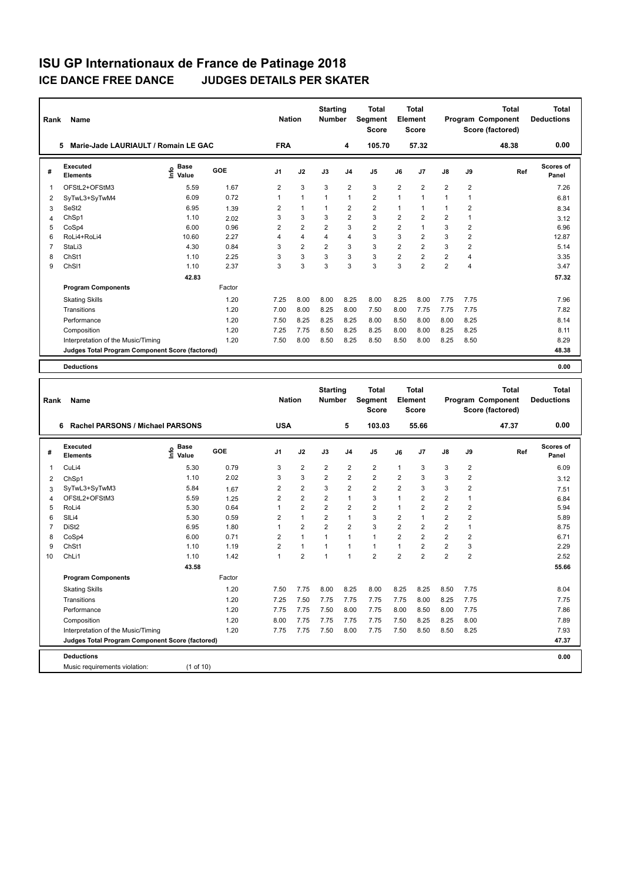| Rank           | Name                                            |                                  |        | <b>Nation</b>  |                | <b>Starting</b><br><b>Number</b> |                | <b>Total</b><br>Segment<br><b>Score</b> |                | Total<br>Element<br><b>Score</b> |                |                | <b>Total</b><br>Program Component<br>Score (factored) | <b>Total</b><br><b>Deductions</b> |
|----------------|-------------------------------------------------|----------------------------------|--------|----------------|----------------|----------------------------------|----------------|-----------------------------------------|----------------|----------------------------------|----------------|----------------|-------------------------------------------------------|-----------------------------------|
|                | Marie-Jade LAURIAULT / Romain LE GAC<br>5       |                                  |        | <b>FRA</b>     |                |                                  | 4              | 105.70                                  |                | 57.32                            |                |                | 48.38                                                 | 0.00                              |
| #              | Executed<br><b>Elements</b>                     | <b>Base</b><br>e Base<br>⊆ Value | GOE    | J1             | J2             | J3                               | J <sub>4</sub> | J <sub>5</sub>                          | J6             | J <sub>7</sub>                   | $\mathsf{J}8$  | J9             | Ref                                                   | <b>Scores of</b><br>Panel         |
| 1              | OFStL2+OFStM3                                   | 5.59                             | 1.67   | $\overline{2}$ | 3              | 3                                | $\overline{2}$ | 3                                       | $\overline{2}$ | $\overline{2}$                   | $\overline{2}$ | $\overline{2}$ |                                                       | 7.26                              |
| 2              | SyTwL3+SyTwM4                                   | 6.09                             | 0.72   |                | 1              | 1                                | 1              | $\overline{2}$                          | $\overline{1}$ | $\overline{1}$                   |                | $\mathbf{1}$   |                                                       | 6.81                              |
| 3              | SeSt2                                           | 6.95                             | 1.39   | $\overline{2}$ | $\mathbf{1}$   | 1                                | $\overline{2}$ | $\overline{2}$                          |                | $\mathbf{1}$                     |                | $\overline{2}$ |                                                       | 8.34                              |
| 4              | ChSp1                                           | 1.10                             | 2.02   | 3              | 3              | 3                                | $\overline{2}$ | 3                                       | $\overline{2}$ | $\overline{2}$                   | $\overline{2}$ | $\mathbf{1}$   |                                                       | 3.12                              |
| 5              | CoSp4                                           | 6.00                             | 0.96   | 2              | $\overline{2}$ | $\overline{2}$                   | 3              | $\overline{c}$                          | $\overline{2}$ | $\blacktriangleleft$             | 3              | $\overline{2}$ |                                                       | 6.96                              |
| 6              | RoLi4+RoLi4                                     | 10.60                            | 2.27   | 4              | 4              | 4                                | $\overline{4}$ | 3                                       | 3              | $\overline{2}$                   | 3              | $\overline{2}$ |                                                       | 12.87                             |
| $\overline{7}$ | StaLi3                                          | 4.30                             | 0.84   | 3              | $\overline{2}$ | $\overline{2}$                   | 3              | 3                                       | $\overline{2}$ | $\overline{2}$                   | 3              | $\overline{2}$ |                                                       | 5.14                              |
| 8              | ChSt1                                           | 1.10                             | 2.25   | 3              | 3              | 3                                | 3              | 3                                       | $\overline{2}$ | $\overline{2}$                   | $\overline{2}$ | $\overline{4}$ |                                                       | 3.35                              |
| 9              | ChS <sub>11</sub>                               | 1.10                             | 2.37   | 3              | 3              | 3                                | 3              | 3                                       | 3              | $\overline{2}$                   | $\overline{2}$ | $\overline{4}$ |                                                       | 3.47                              |
|                |                                                 | 42.83                            |        |                |                |                                  |                |                                         |                |                                  |                |                |                                                       | 57.32                             |
|                | <b>Program Components</b>                       |                                  | Factor |                |                |                                  |                |                                         |                |                                  |                |                |                                                       |                                   |
|                | <b>Skating Skills</b>                           |                                  | 1.20   | 7.25           | 8.00           | 8.00                             | 8.25           | 8.00                                    | 8.25           | 8.00                             | 7.75           | 7.75           |                                                       | 7.96                              |
|                | Transitions                                     |                                  | 1.20   | 7.00           | 8.00           | 8.25                             | 8.00           | 7.50                                    | 8.00           | 7.75                             | 7.75           | 7.75           |                                                       | 7.82                              |
|                | Performance                                     |                                  | 1.20   | 7.50           | 8.25           | 8.25                             | 8.25           | 8.00                                    | 8.50           | 8.00                             | 8.00           | 8.25           |                                                       | 8.14                              |
|                | Composition                                     |                                  | 1.20   | 7.25           | 7.75           | 8.50                             | 8.25           | 8.25                                    | 8.00           | 8.00                             | 8.25           | 8.25           |                                                       | 8.11                              |
|                | Interpretation of the Music/Timing              |                                  | 1.20   | 7.50           | 8.00           | 8.50                             | 8.25           | 8.50                                    | 8.50           | 8.00                             | 8.25           | 8.50           |                                                       | 8.29                              |
|                | Judges Total Program Component Score (factored) |                                  |        |                |                |                                  |                |                                         |                |                                  |                |                |                                                       | 48.38                             |
|                | <b>Deductions</b>                               |                                  |        |                |                |                                  |                |                                         |                |                                  |                |                |                                                       | 0.00                              |

| Rank           | Name                                            |                            |        | <b>Nation</b>  |                | <b>Starting</b><br><b>Number</b> |                | <b>Total</b><br>Segment<br><b>Score</b> |                | Total<br>Element<br><b>Score</b> |                |                | <b>Total</b><br><b>Program Component</b><br>Score (factored) | <b>Total</b><br><b>Deductions</b> |
|----------------|-------------------------------------------------|----------------------------|--------|----------------|----------------|----------------------------------|----------------|-----------------------------------------|----------------|----------------------------------|----------------|----------------|--------------------------------------------------------------|-----------------------------------|
|                | Rachel PARSONS / Michael PARSONS<br>6           |                            |        | <b>USA</b>     |                |                                  | 5              | 103.03                                  |                | 55.66                            |                |                | 47.37                                                        | 0.00                              |
| #              | Executed<br><b>Elements</b>                     | <b>Base</b><br>۴è<br>Value | GOE    | J <sub>1</sub> | J2             | J3                               | J <sub>4</sub> | J5                                      | J6             | J7                               | J8             | J9             | Ref                                                          | Scores of<br>Panel                |
| $\overline{1}$ | CuLi4                                           | 5.30                       | 0.79   | 3              | $\overline{2}$ | $\overline{2}$                   | $\overline{2}$ | $\overline{2}$                          | $\overline{1}$ | 3                                | 3              | $\overline{2}$ |                                                              | 6.09                              |
| $\overline{2}$ | ChSp1                                           | 1.10                       | 2.02   | 3              | 3              | $\overline{2}$                   | $\overline{2}$ | $\overline{2}$                          | $\overline{2}$ | 3                                | 3              | $\overline{2}$ |                                                              | 3.12                              |
| 3              | SyTwL3+SyTwM3                                   | 5.84                       | 1.67   | $\overline{2}$ | $\overline{2}$ | 3                                | $\overline{2}$ | $\overline{2}$                          | $\overline{2}$ | 3                                | 3              | 2              |                                                              | 7.51                              |
| $\overline{4}$ | OFStL2+OFStM3                                   | 5.59                       | 1.25   | $\overline{2}$ | $\overline{2}$ | $\overline{2}$                   | $\mathbf{1}$   | 3                                       | $\overline{1}$ | $\overline{2}$                   | $\overline{2}$ | 1              |                                                              | 6.84                              |
| 5              | RoLi4                                           | 5.30                       | 0.64   | 1              | $\overline{2}$ | $\overline{2}$                   | $\overline{2}$ | $\overline{2}$                          | $\overline{1}$ | $\overline{2}$                   | $\overline{2}$ | $\overline{2}$ |                                                              | 5.94                              |
| 6              | SIL <sub>i4</sub>                               | 5.30                       | 0.59   | $\overline{2}$ | $\mathbf{1}$   | $\overline{2}$                   | $\mathbf{1}$   | 3                                       | $\overline{2}$ | $\overline{1}$                   | $\overline{2}$ | $\overline{2}$ |                                                              | 5.89                              |
| $\overline{7}$ | DiSt <sub>2</sub>                               | 6.95                       | 1.80   | 1              | $\overline{2}$ | $\overline{2}$                   | $\overline{2}$ | 3                                       | $\overline{2}$ | $\overline{2}$                   | $\overline{2}$ | 1              |                                                              | 8.75                              |
| 8              | CoSp4                                           | 6.00                       | 0.71   | $\overline{2}$ | $\mathbf{1}$   | $\mathbf{1}$                     | $\mathbf{1}$   | $\mathbf{1}$                            | $\overline{2}$ | $\overline{2}$                   | $\overline{2}$ | 2              |                                                              | 6.71                              |
| 9              | ChSt1                                           | 1.10                       | 1.19   | $\overline{2}$ | $\mathbf{1}$   | $\mathbf{1}$                     | $\mathbf{1}$   | $\overline{1}$                          | $\overline{1}$ | 2                                | $\overline{2}$ | 3              |                                                              | 2.29                              |
| 10             | ChLi1                                           | 1.10                       | 1.42   | 1              | $\overline{2}$ | 1                                | 1              | $\overline{2}$                          | $\overline{2}$ | $\overline{2}$                   | $\overline{2}$ | $\overline{2}$ |                                                              | 2.52                              |
|                |                                                 | 43.58                      |        |                |                |                                  |                |                                         |                |                                  |                |                |                                                              | 55.66                             |
|                | <b>Program Components</b>                       |                            | Factor |                |                |                                  |                |                                         |                |                                  |                |                |                                                              |                                   |
|                | <b>Skating Skills</b>                           |                            | 1.20   | 7.50           | 7.75           | 8.00                             | 8.25           | 8.00                                    | 8.25           | 8.25                             | 8.50           | 7.75           |                                                              | 8.04                              |
|                | Transitions                                     |                            | 1.20   | 7.25           | 7.50           | 7.75                             | 7.75           | 7.75                                    | 7.75           | 8.00                             | 8.25           | 7.75           |                                                              | 7.75                              |
|                | Performance                                     |                            | 1.20   | 7.75           | 7.75           | 7.50                             | 8.00           | 7.75                                    | 8.00           | 8.50                             | 8.00           | 7.75           |                                                              | 7.86                              |
|                | Composition                                     |                            | 1.20   | 8.00           | 7.75           | 7.75                             | 7.75           | 7.75                                    | 7.50           | 8.25                             | 8.25           | 8.00           |                                                              | 7.89                              |
|                | Interpretation of the Music/Timing              |                            | 1.20   | 7.75           | 7.75           | 7.50                             | 8.00           | 7.75                                    | 7.50           | 8.50                             | 8.50           | 8.25           |                                                              | 7.93                              |
|                | Judges Total Program Component Score (factored) |                            |        |                |                |                                  |                |                                         |                |                                  |                |                |                                                              | 47.37                             |
|                | <b>Deductions</b>                               |                            |        |                |                |                                  |                |                                         |                |                                  |                |                |                                                              | 0.00                              |
|                | Music requirements violation:                   | (1 of 10)                  |        |                |                |                                  |                |                                         |                |                                  |                |                |                                                              |                                   |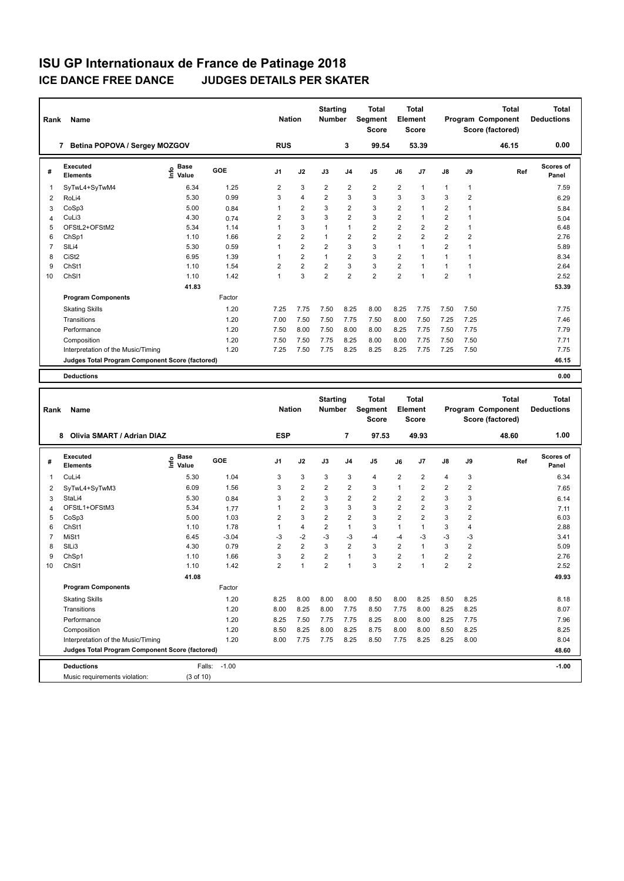| Rank           | Name                                                                                  |                   |            | <b>Nation</b>  |                | <b>Starting</b><br>Number |                         | Total<br>Segment<br><b>Score</b> |                  | Total<br>Element<br><b>Score</b> |                  |                         | <b>Total</b><br>Program Component<br>Score (factored) | <b>Total</b><br><b>Deductions</b> |
|----------------|---------------------------------------------------------------------------------------|-------------------|------------|----------------|----------------|---------------------------|-------------------------|----------------------------------|------------------|----------------------------------|------------------|-------------------------|-------------------------------------------------------|-----------------------------------|
|                | 7 Betina POPOVA / Sergey MOZGOV                                                       |                   |            | <b>RUS</b>     |                |                           | 3                       | 99.54                            |                  | 53.39                            |                  |                         | 46.15                                                 | 0.00                              |
| #              | Executed<br><b>Elements</b>                                                           | e Base<br>⊆ Value | GOE        | J1             | J2             | J3                        | J <sub>4</sub>          | J5                               | J6               | J7                               | J8               | J9                      | Ref                                                   | <b>Scores of</b><br>Panel         |
| 1              | SyTwL4+SyTwM4                                                                         | 6.34              | 1.25       | 2              | 3              | $\overline{2}$            | $\overline{2}$          | $\overline{2}$                   | 2                | $\mathbf{1}$                     | $\mathbf{1}$     | $\mathbf{1}$            |                                                       | 7.59                              |
| 2              | RoLi4                                                                                 | 5.30              | 0.99       | 3              | 4              | 2                         | 3                       | 3                                | 3                | 3                                | 3                | $\overline{2}$          |                                                       | 6.29                              |
| 3              | CoSp3                                                                                 | 5.00              | 0.84       | 1              | 2              | 3                         | $\overline{\mathbf{c}}$ | 3                                | $\boldsymbol{2}$ | $\mathbf{1}$                     | $\boldsymbol{2}$ | $\mathbf{1}$            |                                                       | 5.84                              |
| 4              | CuLi3                                                                                 | 4.30              | 0.74       | 2              | 3              | 3                         | $\overline{2}$          | 3                                | $\overline{2}$   | $\mathbf{1}$                     | $\overline{2}$   | $\mathbf{1}$            |                                                       | 5.04                              |
| 5              | OFStL2+OFStM2                                                                         | 5.34              | 1.14       | 1              | 3              | 1                         | $\mathbf{1}$            | $\overline{2}$                   | $\overline{2}$   | $\overline{2}$                   | $\overline{2}$   | $\mathbf{1}$            |                                                       | 6.48                              |
| 6              | ChSp1                                                                                 | 1.10              | 1.66       | $\overline{2}$ | 2              | 1                         | $\overline{2}$          | $\overline{2}$                   | $\overline{2}$   | $\overline{2}$                   | $\overline{2}$   | $\overline{2}$          |                                                       | 2.76                              |
| $\overline{7}$ | SILi4                                                                                 | 5.30              | 0.59       | 1              | 2              | 2                         | 3                       | 3                                | $\mathbf{1}$     | $\mathbf{1}$                     | $\overline{2}$   | $\mathbf{1}$            |                                                       | 5.89                              |
| 8              | CiSt <sub>2</sub>                                                                     | 6.95              | 1.39       | 1              | $\overline{2}$ | $\mathbf{1}$              | $\overline{2}$          | 3                                | $\overline{2}$   | $\mathbf{1}$                     | $\mathbf{1}$     | $\mathbf{1}$            |                                                       | 8.34                              |
| 9              | ChSt1                                                                                 | 1.10              | 1.54       | $\overline{2}$ | $\overline{2}$ | 2                         | 3                       | 3                                | $\overline{2}$   | $\mathbf{1}$                     | $\mathbf{1}$     | $\mathbf{1}$            |                                                       | 2.64                              |
| 10             | ChS <sub>11</sub>                                                                     | 1.10              | 1.42       | $\mathbf{1}$   | 3              | $\overline{2}$            | $\overline{2}$          | $\overline{2}$                   | $\overline{2}$   | $\overline{1}$                   | $\overline{2}$   | $\mathbf{1}$            |                                                       | 2.52                              |
|                |                                                                                       | 41.83             |            |                |                |                           |                         |                                  |                  |                                  |                  |                         |                                                       | 53.39                             |
|                | <b>Program Components</b>                                                             |                   | Factor     |                |                |                           |                         |                                  |                  |                                  |                  |                         |                                                       |                                   |
|                | <b>Skating Skills</b>                                                                 |                   | 1.20       | 7.25           | 7.75           | 7.50                      | 8.25                    | 8.00                             | 8.25             | 7.75                             | 7.50             | 7.50                    |                                                       | 7.75                              |
|                | Transitions                                                                           |                   | 1.20       | 7.00           | 7.50           | 7.50                      | 7.75                    | 7.50                             | 8.00             | 7.50                             | 7.25             | 7.25                    |                                                       | 7.46                              |
|                | Performance                                                                           |                   | 1.20       | 7.50           | 8.00           | 7.50                      | 8.00                    | 8.00                             | 8.25             | 7.75                             | 7.50             | 7.75                    |                                                       | 7.79                              |
|                | Composition                                                                           |                   | 1.20       | 7.50           | 7.50           | 7.75                      | 8.25                    | 8.00                             | 8.00             | 7.75                             | 7.50             | 7.50                    |                                                       | 7.71                              |
|                | Interpretation of the Music/Timing                                                    |                   | 1.20       | 7.25           | 7.50           | 7.75                      | 8.25                    | 8.25                             | 8.25             | 7.75                             | 7.25             | 7.50                    |                                                       | 7.75                              |
|                | Judges Total Program Component Score (factored)                                       |                   |            |                |                |                           |                         |                                  |                  |                                  |                  |                         |                                                       | 46.15                             |
|                | <b>Deductions</b>                                                                     |                   |            |                |                |                           |                         |                                  |                  |                                  |                  |                         |                                                       | 0.00                              |
|                |                                                                                       |                   |            |                |                |                           |                         |                                  |                  |                                  |                  |                         |                                                       |                                   |
|                |                                                                                       |                   |            |                |                | <b>Starting</b>           |                         | <b>Total</b>                     |                  | <b>Total</b>                     |                  |                         | <b>Total</b>                                          | <b>Total</b>                      |
| Rank           | Name                                                                                  |                   |            | <b>Nation</b>  |                |                           |                         |                                  |                  |                                  |                  |                         |                                                       |                                   |
|                |                                                                                       |                   |            |                |                | Number                    |                         | Segment<br><b>Score</b>          |                  | <b>Element</b><br>Score          |                  |                         | Program Component<br>Score (factored)                 | <b>Deductions</b>                 |
|                | 8 Olivia SMART / Adrian DIAZ                                                          |                   |            | <b>ESP</b>     |                |                           | $\overline{\mathbf{r}}$ | 97.53                            |                  | 49.93                            |                  |                         | 48.60                                                 | 1.00                              |
|                | <b>Executed</b>                                                                       | Base              | <b>GOE</b> |                |                |                           |                         |                                  |                  |                                  |                  |                         |                                                       | Scores of                         |
| #              | <b>Elements</b>                                                                       | e Base<br>⊆ Value |            | J1             | J2             | J3                        | J <sub>4</sub>          | J5                               | J6               | J7                               | J8               | J9                      | Ref                                                   | Panel                             |
| 1              | CuLi4                                                                                 | 5.30              | 1.04       | 3              | 3              | 3                         | 3                       | $\overline{4}$                   | $\overline{2}$   | $\overline{2}$                   | 4                | 3                       |                                                       | 6.34                              |
| 2              | SyTwL4+SyTwM3                                                                         | 6.09              | 1.56       | 3              | 2              | $\overline{2}$            | $\overline{2}$          | 3                                | $\mathbf{1}$     | $\overline{2}$                   | $\overline{2}$   | $\overline{\mathbf{c}}$ |                                                       | 7.65                              |
| 3              | StaLi4                                                                                | 5.30              | 0.84       | 3              | $\overline{2}$ | 3                         | $\overline{2}$          | $\overline{2}$                   | $\overline{2}$   | $\overline{2}$                   | 3                | 3                       |                                                       | 6.14                              |
| 4              | OFStL1+OFStM3                                                                         | 5.34              | 1.77       | 1              | $\overline{2}$ | 3                         | 3                       | 3                                | $\overline{2}$   | $\overline{2}$                   | 3                | $\boldsymbol{2}$        |                                                       | 7.11                              |
| 5              | CoSp3                                                                                 | 5.00              | 1.03       | 2              | 3              | $\overline{2}$            | $\overline{2}$          | 3                                | $\overline{2}$   | $\overline{2}$                   | 3                | $\overline{\mathbf{c}}$ |                                                       | 6.03                              |
| 6              | ChSt1                                                                                 | 1.10              | 1.78       | $\mathbf{1}$   | 4              | $\overline{2}$            | $\mathbf{1}$            | 3                                | $\mathbf{1}$     | $\mathbf{1}$                     | 3                | 4                       |                                                       | 2.88                              |
| $\overline{7}$ | MiSt1                                                                                 | 6.45              | $-3.04$    | $-3$           | $-2$           | $-3$                      | $-3$                    | $-4$                             | -4               | -3                               | $-3$             | -3                      |                                                       | 3.41                              |
| 8              | SIL <sub>i3</sub>                                                                     | 4.30              | 0.79       | $\overline{2}$ | $\overline{2}$ | 3                         | $\overline{2}$          | 3                                | $\overline{2}$   | $\mathbf{1}$                     | 3                | $\overline{2}$          |                                                       | 5.09                              |
| 9              | ChSp1                                                                                 | 1.10              | 1.66       | 3              | $\overline{2}$ | $\overline{2}$            | 1                       | 3                                | $\overline{2}$   | $\mathbf{1}$                     | $\overline{2}$   | $\overline{2}$          |                                                       | 2.76                              |
| 10             | ChSI1                                                                                 | 1.10              | 1.42       | 2              | 1              | $\overline{c}$            | 1                       | 3                                | 2                | 1                                | $\sqrt{2}$       |                         |                                                       | 2.52                              |
|                |                                                                                       | 41.08             |            |                |                |                           |                         |                                  |                  |                                  |                  |                         |                                                       | 49.93                             |
|                | <b>Program Components</b>                                                             |                   | Factor     |                |                |                           |                         |                                  |                  |                                  |                  |                         |                                                       |                                   |
|                | <b>Skating Skills</b>                                                                 |                   | 1.20       | 8.25           | 8.00           | 8.00                      | 8.00                    | 8.50                             | 8.00             | 8.25                             | 8.50             | 8.25                    |                                                       | 8.18                              |
|                | Transitions                                                                           |                   | 1.20       | 8.00           | 8.25           | 8.00                      | 7.75                    | 8.50                             | 7.75             | 8.00                             | 8.25             | 8.25                    |                                                       | 8.07                              |
|                | Performance                                                                           |                   | 1.20       | 8.25           | 7.50           | 7.75                      | 7.75                    | 8.25                             | 8.00             | 8.00                             | 8.25             | 7.75                    |                                                       | 7.96                              |
|                | Composition                                                                           |                   | 1.20       | 8.50           | 8.25           | 8.00                      | 8.25                    | 8.75                             | 8.00             | 8.00                             | 8.50             | 8.25                    |                                                       | 8.25                              |
|                | Interpretation of the Music/Timing<br>Judges Total Program Component Score (factored) |                   | 1.20       | 8.00           | 7.75           | 7.75                      | 8.25                    | 8.50                             | 7.75             | 8.25                             | 8.25             | 8.00                    |                                                       | 8.04<br>48.60                     |

**Deductions** Falls: -1.00 **-1.00**

Music requirements violation: (3 of 10)